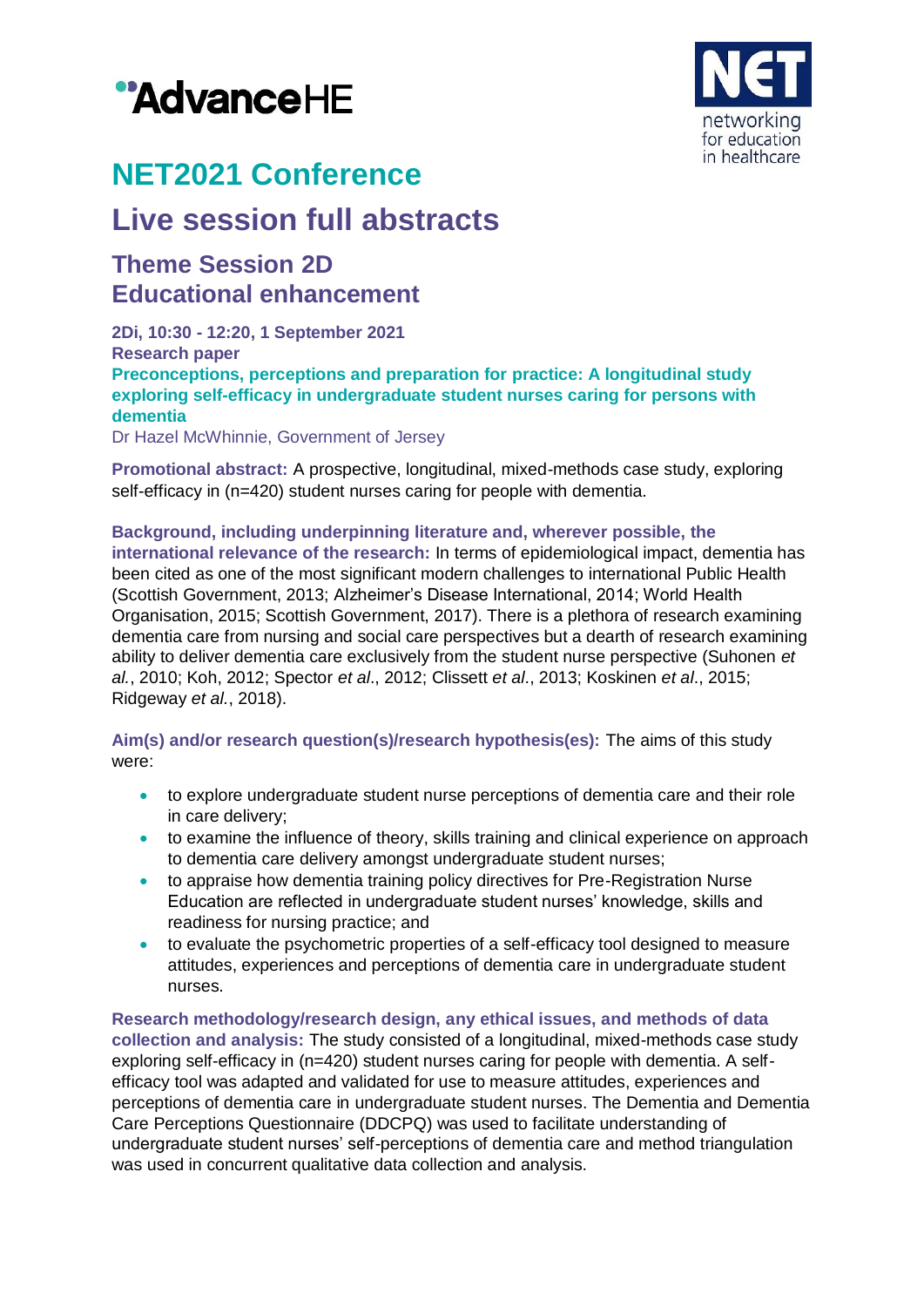



# **NET2021 Conference**

## **Live session full abstracts**

### **Theme Session 2D Educational enhancement**

**2Di, 10:30 - 12:20, 1 September 2021 Research paper Preconceptions, perceptions and preparation for practice: A longitudinal study exploring self-efficacy in undergraduate student nurses caring for persons with dementia**

Dr Hazel McWhinnie, Government of Jersey

**Promotional abstract:** A prospective, longitudinal, mixed-methods case study, exploring self-efficacy in (n=420) student nurses caring for people with dementia.

#### **Background, including underpinning literature and, wherever possible, the**

**international relevance of the research:** In terms of epidemiological impact, dementia has been cited as one of the most significant modern challenges to international Public Health (Scottish Government, 2013; Alzheimer's Disease International, 2014; World Health Organisation, 2015; Scottish Government, 2017). There is a plethora of research examining dementia care from nursing and social care perspectives but a dearth of research examining ability to deliver dementia care exclusively from the student nurse perspective (Suhonen *et al.*, 2010; Koh, 2012; Spector *et al*., 2012; Clissett *et al*., 2013; Koskinen *et al*., 2015; Ridgeway *et al.*, 2018).

**Aim(s) and/or research question(s)/research hypothesis(es):** The aims of this study were:

- to explore undergraduate student nurse perceptions of dementia care and their role in care delivery;
- to examine the influence of theory, skills training and clinical experience on approach to dementia care delivery amongst undergraduate student nurses;
- to appraise how dementia training policy directives for Pre-Registration Nurse Education are reflected in undergraduate student nurses' knowledge, skills and readiness for nursing practice; and
- to evaluate the psychometric properties of a self-efficacy tool designed to measure attitudes, experiences and perceptions of dementia care in undergraduate student nurses.

**Research methodology/research design, any ethical issues, and methods of data collection and analysis:** The study consisted of a longitudinal, mixed-methods case study exploring self-efficacy in (n=420) student nurses caring for people with dementia. A selfefficacy tool was adapted and validated for use to measure attitudes, experiences and perceptions of dementia care in undergraduate student nurses. The Dementia and Dementia Care Perceptions Questionnaire (DDCPQ) was used to facilitate understanding of undergraduate student nurses' self-perceptions of dementia care and method triangulation was used in concurrent qualitative data collection and analysis.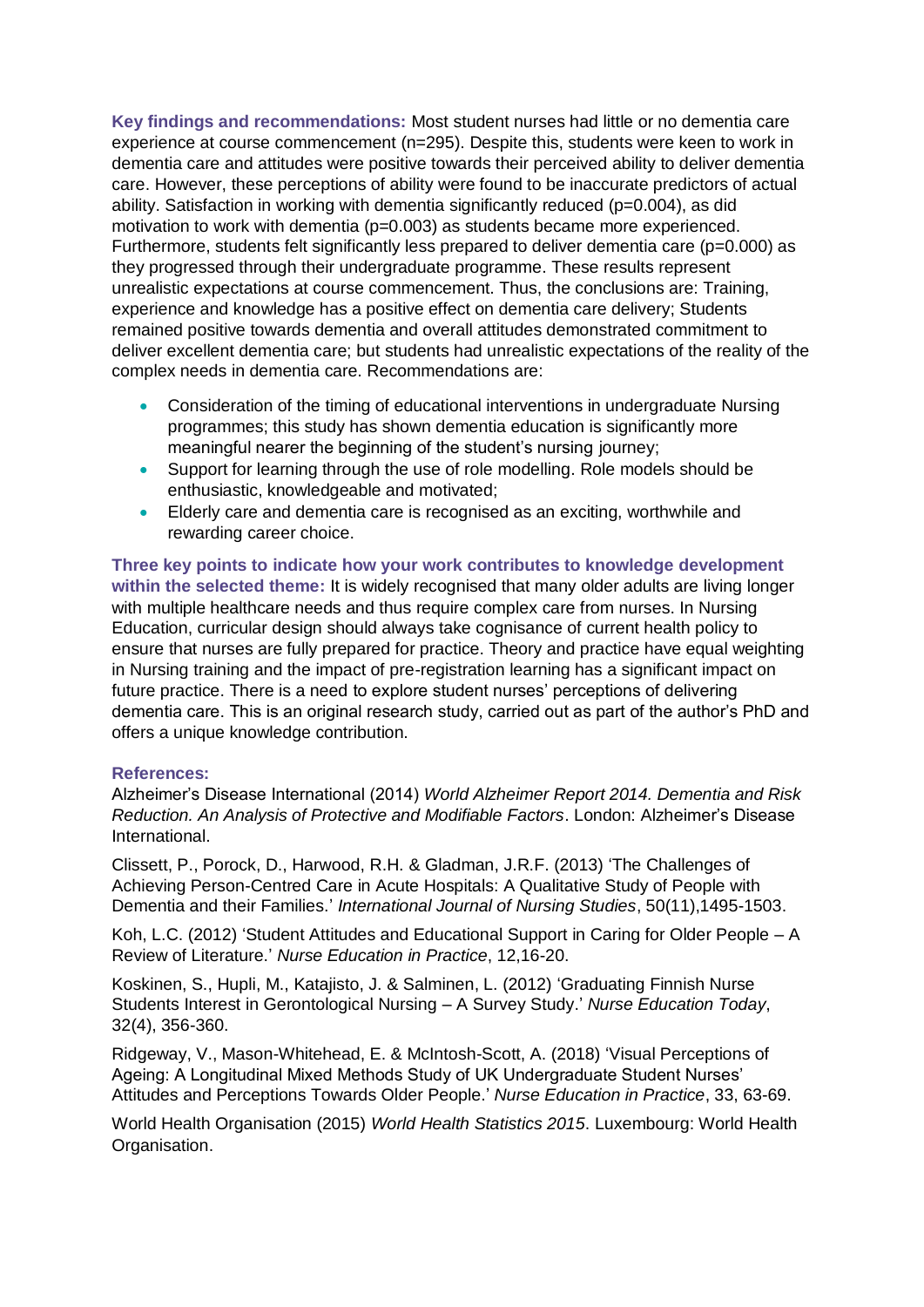**Key findings and recommendations:** Most student nurses had little or no dementia care experience at course commencement (n=295). Despite this, students were keen to work in dementia care and attitudes were positive towards their perceived ability to deliver dementia care. However, these perceptions of ability were found to be inaccurate predictors of actual ability. Satisfaction in working with dementia significantly reduced  $(p=0.004)$ , as did motivation to work with dementia (p=0.003) as students became more experienced. Furthermore, students felt significantly less prepared to deliver dementia care (p=0.000) as they progressed through their undergraduate programme. These results represent unrealistic expectations at course commencement. Thus, the conclusions are: Training, experience and knowledge has a positive effect on dementia care delivery; Students remained positive towards dementia and overall attitudes demonstrated commitment to deliver excellent dementia care; but students had unrealistic expectations of the reality of the complex needs in dementia care. Recommendations are:

- Consideration of the timing of educational interventions in undergraduate Nursing programmes; this study has shown dementia education is significantly more meaningful nearer the beginning of the student's nursing journey;
- Support for learning through the use of role modelling. Role models should be enthusiastic, knowledgeable and motivated;
- Elderly care and dementia care is recognised as an exciting, worthwhile and rewarding career choice.

**Three key points to indicate how your work contributes to knowledge development within the selected theme:** It is widely recognised that many older adults are living longer with multiple healthcare needs and thus require complex care from nurses. In Nursing Education, curricular design should always take cognisance of current health policy to ensure that nurses are fully prepared for practice. Theory and practice have equal weighting in Nursing training and the impact of pre-registration learning has a significant impact on future practice. There is a need to explore student nurses' perceptions of delivering dementia care. This is an original research study, carried out as part of the author's PhD and offers a unique knowledge contribution.

#### **References:**

Alzheimer's Disease International (2014) *World Alzheimer Report 2014. Dementia and Risk Reduction. An Analysis of Protective and Modifiable Factors*. London: Alzheimer's Disease International.

Clissett, P., Porock, D., Harwood, R.H. & Gladman, J.R.F. (2013) 'The Challenges of Achieving Person-Centred Care in Acute Hospitals: A Qualitative Study of People with Dementia and their Families.' *International Journal of Nursing Studies*, 50(11),1495-1503.

Koh, L.C. (2012) 'Student Attitudes and Educational Support in Caring for Older People – A Review of Literature.' *Nurse Education in Practice*, 12,16-20.

Koskinen, S., Hupli, M., Katajisto, J. & Salminen, L. (2012) 'Graduating Finnish Nurse Students Interest in Gerontological Nursing – A Survey Study.' *Nurse Education Today*, 32(4), 356-360.

Ridgeway, V., Mason-Whitehead, E. & McIntosh-Scott, A. (2018) 'Visual Perceptions of Ageing: A Longitudinal Mixed Methods Study of UK Undergraduate Student Nurses' Attitudes and Perceptions Towards Older People.' *Nurse Education in Practice*, 33, 63-69.

World Health Organisation (2015) *World Health Statistics 2015*. Luxembourg: World Health Organisation.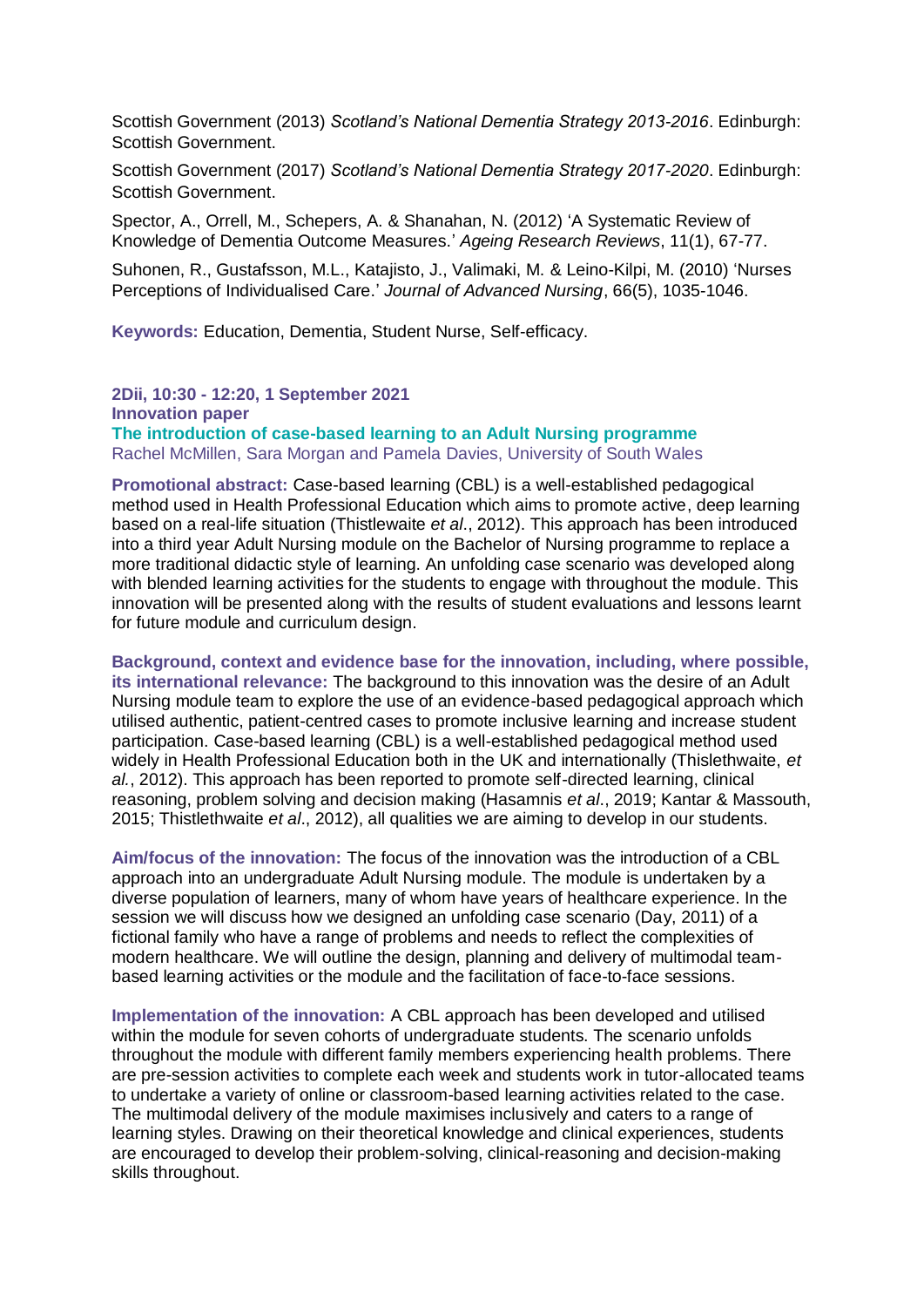Scottish Government (2013) *Scotland's National Dementia Strategy 2013-2016*. Edinburgh: Scottish Government.

Scottish Government (2017) *Scotland's National Dementia Strategy 2017-2020*. Edinburgh: Scottish Government.

Spector, A., Orrell, M., Schepers, A. & Shanahan, N. (2012) 'A Systematic Review of Knowledge of Dementia Outcome Measures.' *Ageing Research Reviews*, 11(1), 67-77.

Suhonen, R., Gustafsson, M.L., Katajisto, J., Valimaki, M. & Leino-Kilpi, M. (2010) 'Nurses Perceptions of Individualised Care.' *Journal of Advanced Nursing*, 66(5), 1035-1046.

**Keywords:** Education, Dementia, Student Nurse, Self-efficacy.

**2Dii, 10:30 - 12:20, 1 September 2021 Innovation paper The introduction of case-based learning to an Adult Nursing programme** Rachel McMillen, Sara Morgan and Pamela Davies, University of South Wales

**Promotional abstract:** Case-based learning (CBL) is a well-established pedagogical method used in Health Professional Education which aims to promote active, deep learning based on a real-life situation (Thistlewaite *et al*., 2012). This approach has been introduced into a third year Adult Nursing module on the Bachelor of Nursing programme to replace a more traditional didactic style of learning. An unfolding case scenario was developed along with blended learning activities for the students to engage with throughout the module. This innovation will be presented along with the results of student evaluations and lessons learnt for future module and curriculum design.

**Background, context and evidence base for the innovation, including, where possible, its international relevance:** The background to this innovation was the desire of an Adult Nursing module team to explore the use of an evidence-based pedagogical approach which utilised authentic, patient-centred cases to promote inclusive learning and increase student participation. Case-based learning (CBL) is a well-established pedagogical method used widely in Health Professional Education both in the UK and internationally (Thislethwaite, *et al.*, 2012). This approach has been reported to promote self-directed learning, clinical reasoning, problem solving and decision making (Hasamnis *et al*., 2019; Kantar & Massouth, 2015; Thistlethwaite *et al*., 2012), all qualities we are aiming to develop in our students.

**Aim/focus of the innovation:** The focus of the innovation was the introduction of a CBL approach into an undergraduate Adult Nursing module. The module is undertaken by a diverse population of learners, many of whom have years of healthcare experience. In the session we will discuss how we designed an unfolding case scenario (Day, 2011) of a fictional family who have a range of problems and needs to reflect the complexities of modern healthcare. We will outline the design, planning and delivery of multimodal teambased learning activities or the module and the facilitation of face-to-face sessions.

**Implementation of the innovation:** A CBL approach has been developed and utilised within the module for seven cohorts of undergraduate students. The scenario unfolds throughout the module with different family members experiencing health problems. There are pre-session activities to complete each week and students work in tutor-allocated teams to undertake a variety of online or classroom-based learning activities related to the case. The multimodal delivery of the module maximises inclusively and caters to a range of learning styles. Drawing on their theoretical knowledge and clinical experiences, students are encouraged to develop their problem-solving, clinical-reasoning and decision-making skills throughout.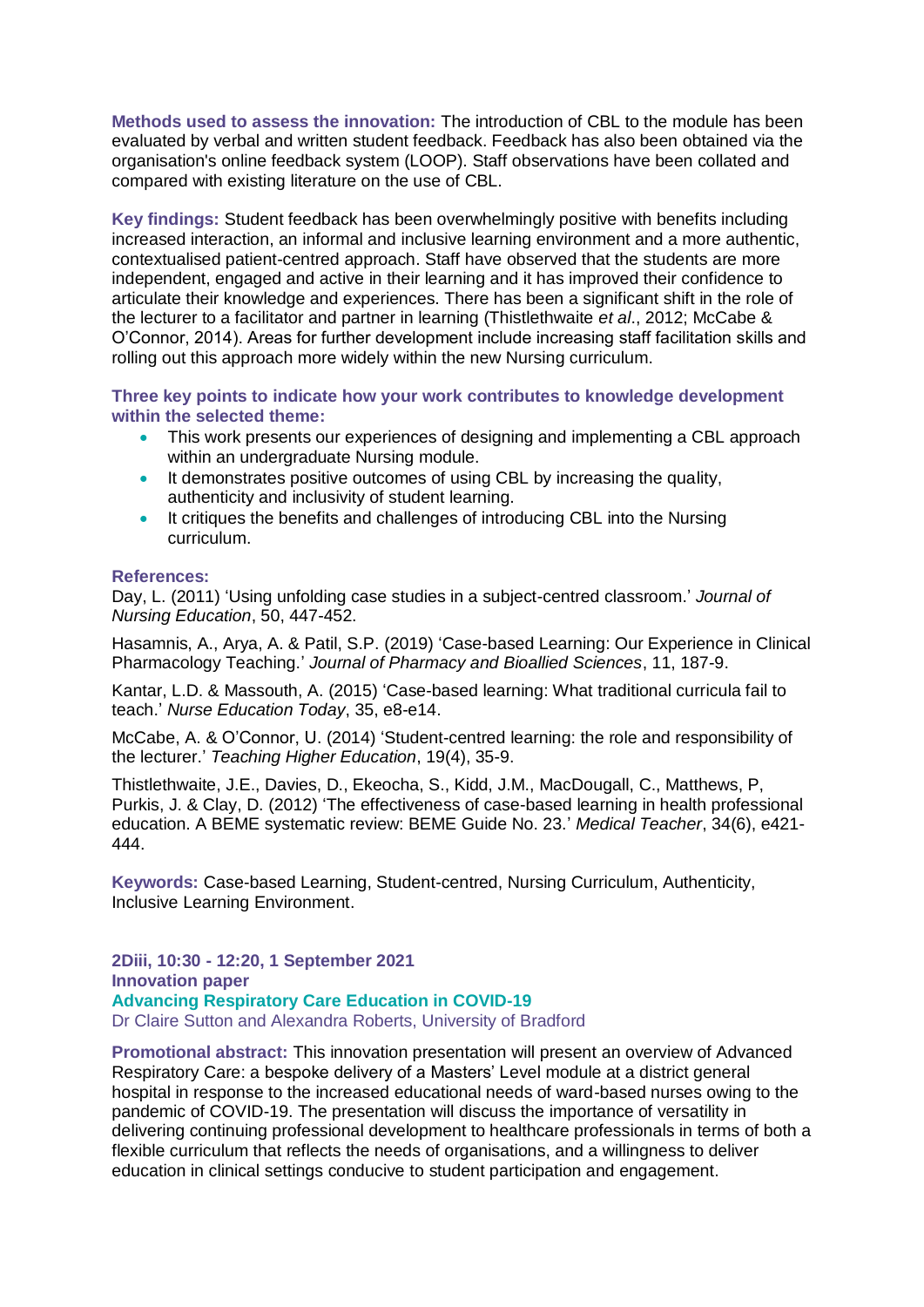**Methods used to assess the innovation:** The introduction of CBL to the module has been evaluated by verbal and written student feedback. Feedback has also been obtained via the organisation's online feedback system (LOOP). Staff observations have been collated and compared with existing literature on the use of CBL.

**Key findings:** Student feedback has been overwhelmingly positive with benefits including increased interaction, an informal and inclusive learning environment and a more authentic, contextualised patient-centred approach. Staff have observed that the students are more independent, engaged and active in their learning and it has improved their confidence to articulate their knowledge and experiences. There has been a significant shift in the role of the lecturer to a facilitator and partner in learning (Thistlethwaite *et al*., 2012; McCabe & O'Connor, 2014). Areas for further development include increasing staff facilitation skills and rolling out this approach more widely within the new Nursing curriculum.

**Three key points to indicate how your work contributes to knowledge development within the selected theme:**

- This work presents our experiences of designing and implementing a CBL approach within an undergraduate Nursing module.
- It demonstrates positive outcomes of using CBL by increasing the quality, authenticity and inclusivity of student learning.
- It critiques the benefits and challenges of introducing CBL into the Nursing curriculum.

#### **References:**

Day, L. (2011) 'Using unfolding case studies in a subject-centred classroom.' *Journal of Nursing Education*, 50, 447-452.

Hasamnis, A., Arya, A. & Patil, S.P. (2019) 'Case-based Learning: Our Experience in Clinical Pharmacology Teaching.' *Journal of Pharmacy and Bioallied Sciences*, 11, 187-9.

Kantar, L.D. & Massouth, A. (2015) 'Case-based learning: What traditional curricula fail to teach.' *Nurse Education Today*, 35, e8-e14.

McCabe, A. & O'Connor, U. (2014) 'Student-centred learning: the role and responsibility of the lecturer.' *Teaching Higher Education*, 19(4), 35-9.

Thistlethwaite, J.E., Davies, D., Ekeocha, S., Kidd, J.M., MacDougall, C., Matthews, P, Purkis, J. & Clay, D. (2012) 'The effectiveness of case-based learning in health professional education. A BEME systematic review: BEME Guide No. 23.' *Medical Teacher*, 34(6), e421- 444.

**Keywords:** Case-based Learning, Student-centred, Nursing Curriculum, Authenticity, Inclusive Learning Environment.

**2Diii, 10:30 - 12:20, 1 September 2021 Innovation paper Advancing Respiratory Care Education in COVID-19** Dr Claire Sutton and Alexandra Roberts, University of Bradford

**Promotional abstract:** This innovation presentation will present an overview of Advanced Respiratory Care: a bespoke delivery of a Masters' Level module at a district general hospital in response to the increased educational needs of ward-based nurses owing to the pandemic of COVID-19. The presentation will discuss the importance of versatility in delivering continuing professional development to healthcare professionals in terms of both a flexible curriculum that reflects the needs of organisations, and a willingness to deliver education in clinical settings conducive to student participation and engagement.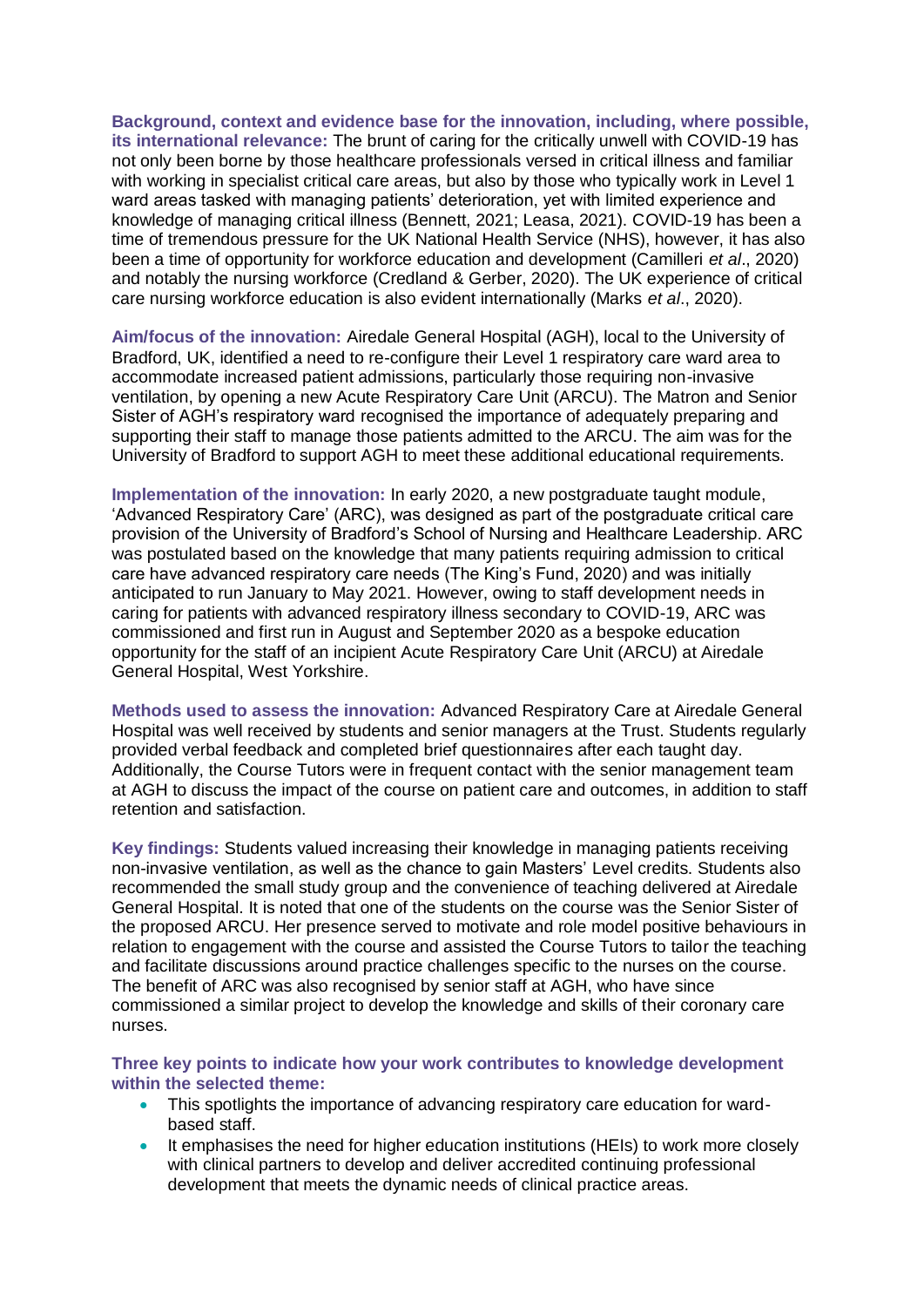**Background, context and evidence base for the innovation, including, where possible, its international relevance:** The brunt of caring for the critically unwell with COVID-19 has not only been borne by those healthcare professionals versed in critical illness and familiar with working in specialist critical care areas, but also by those who typically work in Level 1 ward areas tasked with managing patients' deterioration, yet with limited experience and knowledge of managing critical illness (Bennett, 2021; Leasa, 2021). COVID-19 has been a time of tremendous pressure for the UK National Health Service (NHS), however, it has also been a time of opportunity for workforce education and development (Camilleri *et al*., 2020) and notably the nursing workforce (Credland & Gerber, 2020). The UK experience of critical care nursing workforce education is also evident internationally (Marks *et al*., 2020).

**Aim/focus of the innovation:** Airedale General Hospital (AGH), local to the University of Bradford, UK, identified a need to re-configure their Level 1 respiratory care ward area to accommodate increased patient admissions, particularly those requiring non-invasive ventilation, by opening a new Acute Respiratory Care Unit (ARCU). The Matron and Senior Sister of AGH's respiratory ward recognised the importance of adequately preparing and supporting their staff to manage those patients admitted to the ARCU. The aim was for the University of Bradford to support AGH to meet these additional educational requirements.

**Implementation of the innovation:** In early 2020, a new postgraduate taught module, 'Advanced Respiratory Care' (ARC), was designed as part of the postgraduate critical care provision of the University of Bradford's School of Nursing and Healthcare Leadership. ARC was postulated based on the knowledge that many patients requiring admission to critical care have advanced respiratory care needs (The King's Fund, 2020) and was initially anticipated to run January to May 2021. However, owing to staff development needs in caring for patients with advanced respiratory illness secondary to COVID-19, ARC was commissioned and first run in August and September 2020 as a bespoke education opportunity for the staff of an incipient Acute Respiratory Care Unit (ARCU) at Airedale General Hospital, West Yorkshire.

**Methods used to assess the innovation:** Advanced Respiratory Care at Airedale General Hospital was well received by students and senior managers at the Trust. Students regularly provided verbal feedback and completed brief questionnaires after each taught day. Additionally, the Course Tutors were in frequent contact with the senior management team at AGH to discuss the impact of the course on patient care and outcomes, in addition to staff retention and satisfaction.

**Key findings:** Students valued increasing their knowledge in managing patients receiving non-invasive ventilation, as well as the chance to gain Masters' Level credits. Students also recommended the small study group and the convenience of teaching delivered at Airedale General Hospital. It is noted that one of the students on the course was the Senior Sister of the proposed ARCU. Her presence served to motivate and role model positive behaviours in relation to engagement with the course and assisted the Course Tutors to tailor the teaching and facilitate discussions around practice challenges specific to the nurses on the course. The benefit of ARC was also recognised by senior staff at AGH, who have since commissioned a similar project to develop the knowledge and skills of their coronary care nurses.

**Three key points to indicate how your work contributes to knowledge development within the selected theme:**

- This spotlights the importance of advancing respiratory care education for wardbased staff.
- It emphasises the need for higher education institutions (HEIs) to work more closely with clinical partners to develop and deliver accredited continuing professional development that meets the dynamic needs of clinical practice areas.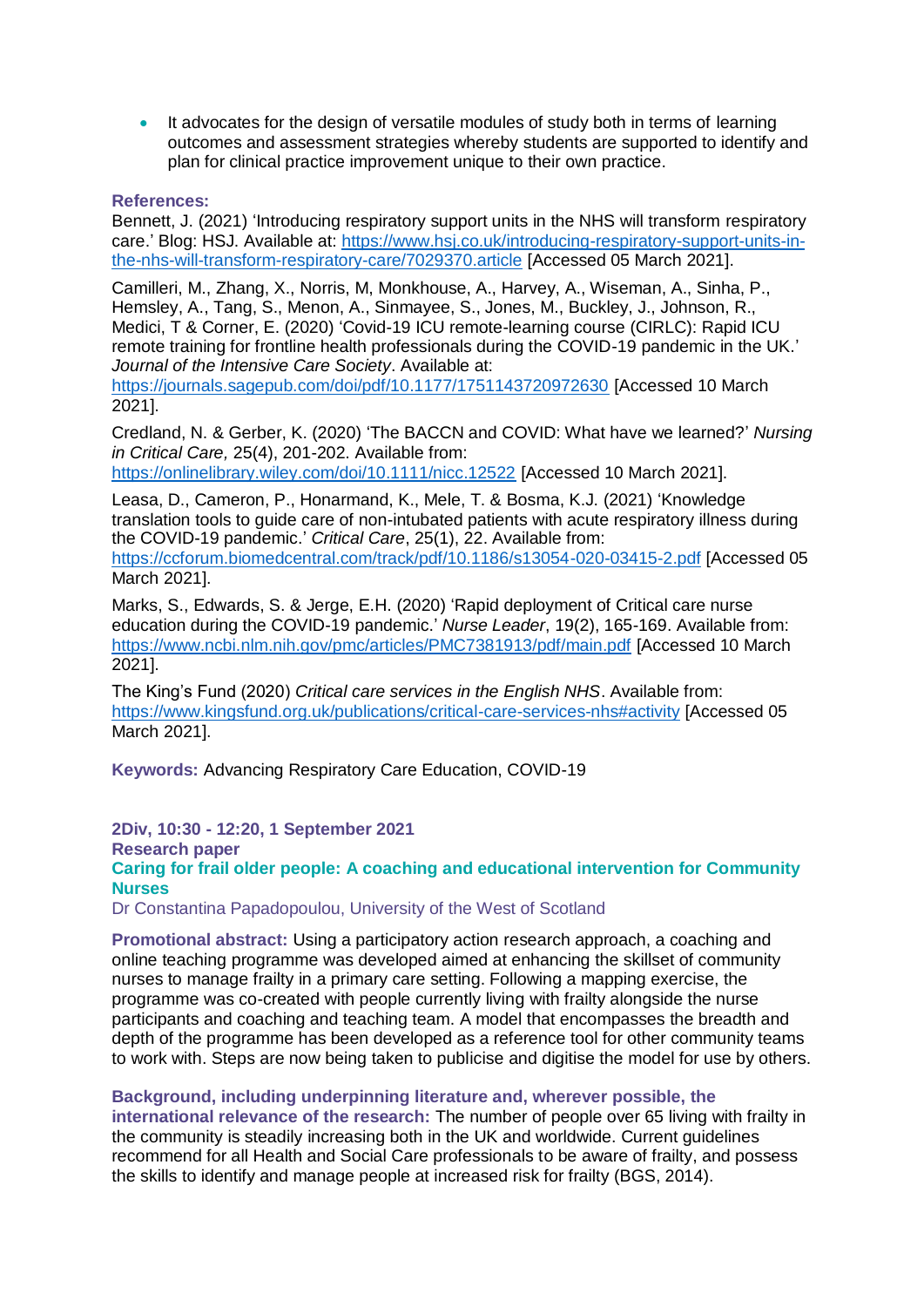It advocates for the design of versatile modules of study both in terms of learning outcomes and assessment strategies whereby students are supported to identify and plan for clinical practice improvement unique to their own practice.

#### **References:**

Bennett, J. (2021) 'Introducing respiratory support units in the NHS will transform respiratory care.' Blog: HSJ. Available at: [https://www.hsj.co.uk/introducing-respiratory-support-units-in](https://www.hsj.co.uk/introducing-respiratory-support-units-in-the-nhs-will-transform-respiratory-care/7029370.article)[the-nhs-will-transform-respiratory-care/7029370.article](https://www.hsj.co.uk/introducing-respiratory-support-units-in-the-nhs-will-transform-respiratory-care/7029370.article) [Accessed 05 March 2021].

Camilleri, M., Zhang, X., Norris, M, Monkhouse, A., Harvey, A., Wiseman, A., Sinha, P., Hemsley, A., Tang, S., Menon, A., Sinmayee, S., Jones, M., Buckley, J., Johnson, R., Medici, T & Corner, E. (2020) 'Covid-19 ICU remote-learning course (CIRLC): Rapid ICU remote training for frontline health professionals during the COVID-19 pandemic in the UK.' *Journal of the Intensive Care Society*. Available at:

<https://journals.sagepub.com/doi/pdf/10.1177/1751143720972630> [Accessed 10 March 2021].

Credland, N. & Gerber, K. (2020) 'The BACCN and COVID: What have we learned?' *Nursing in Critical Care,* 25(4), 201-202. Available from:

<https://onlinelibrary.wiley.com/doi/10.1111/nicc.12522> [Accessed 10 March 2021].

Leasa, D., Cameron, P., Honarmand, K., Mele, T. & Bosma, K.J. (2021) 'Knowledge translation tools to guide care of non-intubated patients with acute respiratory illness during the COVID-19 pandemic.' *Critical Care*, 25(1), 22. Available from: <https://ccforum.biomedcentral.com/track/pdf/10.1186/s13054-020-03415-2.pdf> [Accessed 05 March 2021].

Marks, S., Edwards, S. & Jerge, E.H. (2020) 'Rapid deployment of Critical care nurse education during the COVID-19 pandemic.' *Nurse Leader*, 19(2), 165-169. Available from: <https://www.ncbi.nlm.nih.gov/pmc/articles/PMC7381913/pdf/main.pdf> [Accessed 10 March 2021].

The King's Fund (2020) *Critical care services in the English NHS*. Available from: <https://www.kingsfund.org.uk/publications/critical-care-services-nhs#activity> [Accessed 05 March 2021].

**Keywords:** Advancing Respiratory Care Education, COVID-19

**2Div, 10:30 - 12:20, 1 September 2021 Research paper Caring for frail older people: A coaching and educational intervention for Community Nurses**

Dr Constantina Papadopoulou, University of the West of Scotland

**Promotional abstract:** Using a participatory action research approach, a coaching and online teaching programme was developed aimed at enhancing the skillset of community nurses to manage frailty in a primary care setting. Following a mapping exercise, the programme was co-created with people currently living with frailty alongside the nurse participants and coaching and teaching team. A model that encompasses the breadth and depth of the programme has been developed as a reference tool for other community teams to work with. Steps are now being taken to publicise and digitise the model for use by others.

**Background, including underpinning literature and, wherever possible, the international relevance of the research:** The number of people over 65 living with frailty in the community is steadily increasing both in the UK and worldwide. Current guidelines recommend for all Health and Social Care professionals to be aware of frailty, and possess the skills to identify and manage people at increased risk for frailty (BGS, 2014).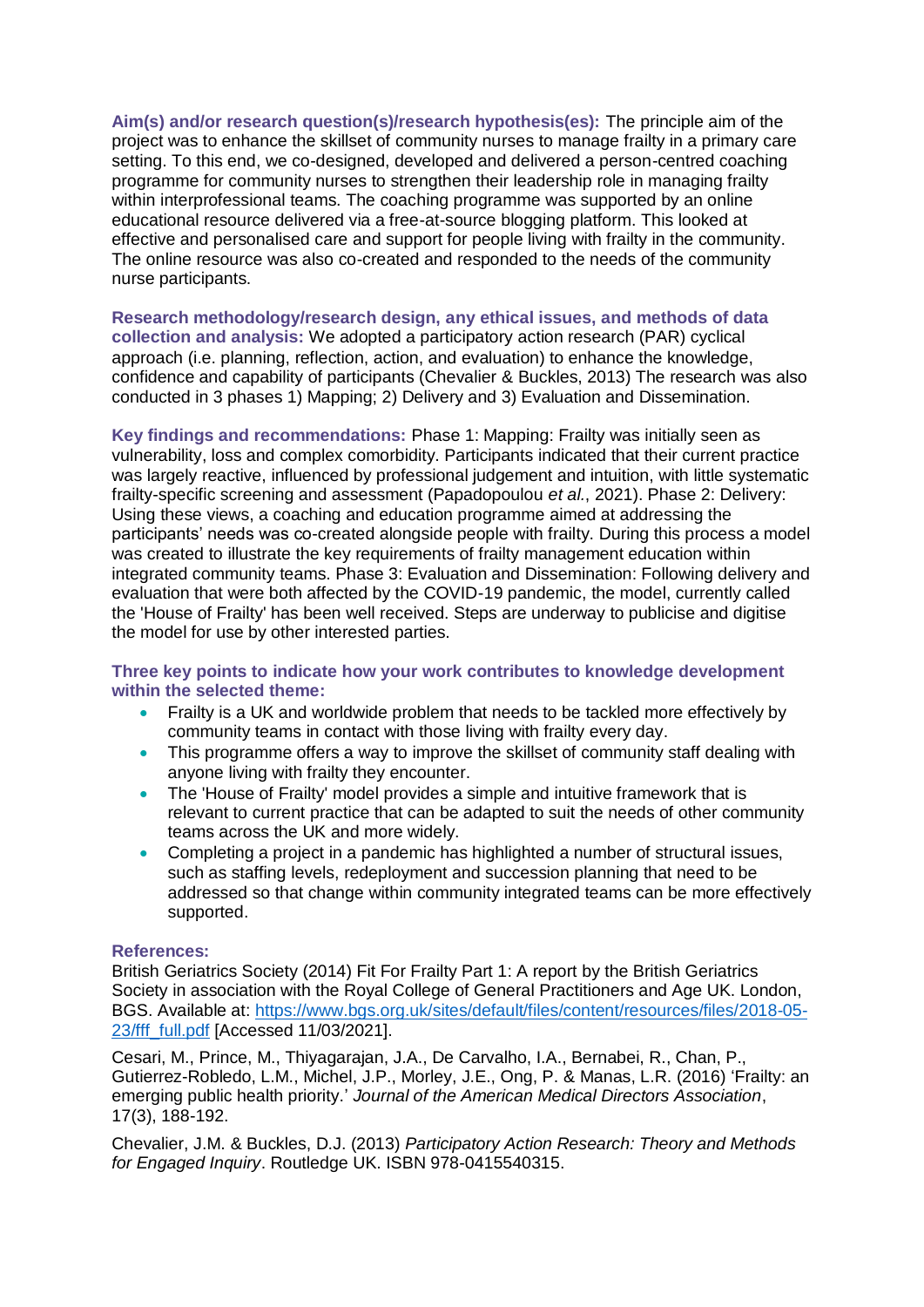**Aim(s) and/or research question(s)/research hypothesis(es):** The principle aim of the project was to enhance the skillset of community nurses to manage frailty in a primary care setting. To this end, we co-designed, developed and delivered a person-centred coaching programme for community nurses to strengthen their leadership role in managing frailty within interprofessional teams. The coaching programme was supported by an online educational resource delivered via a free-at-source blogging platform. This looked at effective and personalised care and support for people living with frailty in the community. The online resource was also co-created and responded to the needs of the community nurse participants.

**Research methodology/research design, any ethical issues, and methods of data collection and analysis:** We adopted a participatory action research (PAR) cyclical approach (i.e. planning, reflection, action, and evaluation) to enhance the knowledge, confidence and capability of participants (Chevalier & Buckles, 2013) The research was also conducted in 3 phases 1) Mapping; 2) Delivery and 3) Evaluation and Dissemination.

**Key findings and recommendations:** Phase 1: Mapping: Frailty was initially seen as vulnerability, loss and complex comorbidity. Participants indicated that their current practice was largely reactive, influenced by professional judgement and intuition, with little systematic frailty-specific screening and assessment (Papadopoulou *et al.*, 2021). Phase 2: Delivery: Using these views, a coaching and education programme aimed at addressing the participants' needs was co-created alongside people with frailty. During this process a model was created to illustrate the key requirements of frailty management education within integrated community teams. Phase 3: Evaluation and Dissemination: Following delivery and evaluation that were both affected by the COVID-19 pandemic, the model, currently called the 'House of Frailty' has been well received. Steps are underway to publicise and digitise the model for use by other interested parties.

**Three key points to indicate how your work contributes to knowledge development within the selected theme:**

- Frailty is a UK and worldwide problem that needs to be tackled more effectively by community teams in contact with those living with frailty every day.
- This programme offers a way to improve the skillset of community staff dealing with anyone living with frailty they encounter.
- The 'House of Frailty' model provides a simple and intuitive framework that is relevant to current practice that can be adapted to suit the needs of other community teams across the UK and more widely.
- Completing a project in a pandemic has highlighted a number of structural issues, such as staffing levels, redeployment and succession planning that need to be addressed so that change within community integrated teams can be more effectively supported.

#### **References:**

British Geriatrics Society (2014) Fit For Frailty Part 1: A report by the British Geriatrics Society in association with the Royal College of General Practitioners and Age UK. London, BGS. Available at: [https://www.bgs.org.uk/sites/default/files/content/resources/files/2018-05-](https://www.bgs.org.uk/sites/default/files/content/resources/files/2018-05-23/fff_full.pdf) [23/fff\\_full.pdf](https://www.bgs.org.uk/sites/default/files/content/resources/files/2018-05-23/fff_full.pdf) [Accessed 11/03/2021].

Cesari, M., Prince, M., Thiyagarajan, J.A., De Carvalho, I.A., Bernabei, R., Chan, P., Gutierrez-Robledo, L.M., Michel, J.P., Morley, J.E., Ong, P. & Manas, L.R. (2016) 'Frailty: an emerging public health priority.' *Journal of the American Medical Directors Association*, 17(3), 188-192.

Chevalier, J.M. & Buckles, D.J. (2013) *Participatory Action Research: Theory and Methods for Engaged Inquiry*. Routledge UK. ISBN 978-0415540315.